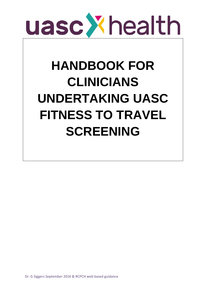

# **HANDBOOK FOR CLINICIANS UNDERTAKING UASC FITNESS TO TRAVEL SCREENING**

Dr. G Siggers September 2016 & RCPCH web based guidance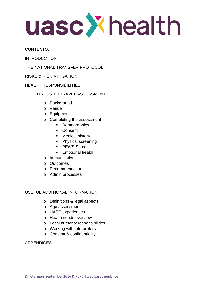uasc Xhealth

# **CONTENTS:**

INTRODUCTION

THE NATIONAL TRANSFER PROTOCOL

- RISKS & RISK MITIGATION
- HEALTH RESPONSIBILITIES

# THE FITNESS TO TRAVEL ASSESSMENT

- o Background
- o Venue
- o Equipment
- o Completing the assessment
	- **Demographics**
	- **Consent**
	- **Medical history**
	- Physical screening
	- **PEWS Score**
	- **Emotional health**
- o Immunisations
- o Outcomes
- o Recommendations
- o Admin processes

# USEFUL ADDITIONAL INFORMATION

- o Definitions & legal aspects
- o Age assessment
- o UASC experiences
- o Health needs overview
- o Local authority responsibilities
- o Working with interpreters
- o Consent & confidentiality

# APPENDICES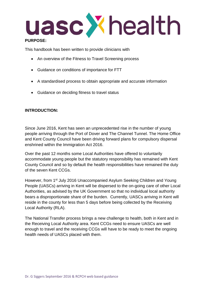

### **PURPOSE:**

This handbook has been written to provide clinicians with

- An overview of the Fitness to Travel Screening process
- Guidance on conditions of importance for FTT
- A standardised process to obtain appropriate and accurate information
- Guidance on deciding fitness to travel status

# **INTRODUCTION:**

Since June 2016, Kent has seen an unprecedented rise in the number of young people arriving through the Port of Dover and The Channel Tunnel. The Home Office and Kent County Council have been driving forward plans for compulsory dispersal enshrined within the Immigration Act 2016.

Over the past 12 months some Local Authorities have offered to voluntarily accommodate young people but the statutory responsibility has remained with Kent County Council and so by default the health responsibilities have remained the duty of the seven Kent CCGs.

However, from 1st July 2016 Unaccompanied Asylum Seeking Children and Young People (UASCs) arriving in Kent will be dispersed to the on-going care of other Local Authorities, as advised by the UK Government so that no individual local authority bears a disproportionate share of the burden. Currently, UASCs arriving in Kent will reside in the county for less than 5 days before being collected by the Receiving Local Authority (RLA).

The National Transfer process brings a new challenge to health, both in Kent and in the Receiving Local Authority area. Kent CCGs need to ensure UASCs are well enough to travel and the receiving CCGs will have to be ready to meet the ongoing health needs of UASCs placed with them.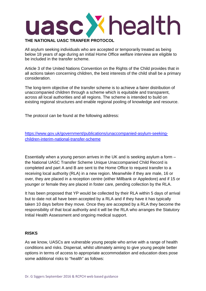

# **THE NATIONAL UASC TRANFER PROTOCOL**

All asylum seeking individuals who are accepted or temporarily treated as being below 18 years of age during an initial Home Office welfare interview are eligible to be included in the transfer scheme.

Article 3 of the United Nations Convention on the Rights of the Child provides that in all actions taken concerning children, the best interests of the child shall be a primary consideration.

The long-term objective of the transfer scheme is to achieve a fairer distribution of unaccompanied children through a scheme which is equitable and transparent, across all local authorities and all regions. The scheme is intended to build on existing regional structures and enable regional pooling of knowledge and resource.

The protocol can be found at the following address:

[https://www.gov.uk/government/publications/unaccompanied-asylum-seeking](https://www.gov.uk/government/publications/unaccompanied-asylum-seeking-children-interim-national-transfer-scheme)[children-interim-national-transfer-scheme](https://www.gov.uk/government/publications/unaccompanied-asylum-seeking-children-interim-national-transfer-scheme)

Essentially when a young person arrives in the UK and is seeking asylum a form – the National UASC Transfer Scheme Unique Unaccompanied Child Record is completed and part A and B are sent to the Home Office to request transfer to a receiving local authority (RLA) in a new region. Meanwhile if they are male, 16 or over, they are placed in a reception centre (either Millbank or Appledore) and if 15 or younger or female they are placed in foster care, pending collection by the RLA.

It has been proposed that YP would be collected by their RLA within 5 days of arrival but to date not all have been accepted by a RLA and if they have it has typically taken 10 days before they move. Once they are accepted by a RLA they become the responsibility of that local authority and it will be the RLA who arranges the Statutory Initial Health Assessment and ongoing medical support.

#### **RISKS**

As we know, UASCs are vulnerable young people who arrive with a range of health conditions and risks. Dispersal, whilst ultimately aiming to give young people better options in terms of access to appropriate accommodation and education does pose some additional risks to "health" as follows: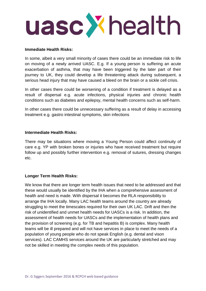

#### **Immediate Health Risks:**

In some, albeit a very small minority of cases there could be an immediate risk to life on moving of a newly arrived UASC. E.g. If a young person is suffering an acute exacerbation of asthma, that may have been triggered by the later part of their journey to UK, they could develop a life threatening attack during subsequent, a serious head injury that may have caused a bleed on the brain or a sickle cell crisis.

In other cases there could be worsening of a condition if treatment is delayed as a result of dispersal e.g. acute infections, physical injuries and chronic health conditions such as diabetes and epilepsy, mental health concerns such as self-harm.

In other cases there could be unnecessary suffering as a result of delay in accessing treatment e.g. gastro intestinal symptoms, skin infections

#### **Intermediate Health Risks:**

There may be situations where moving a Young Person could affect continuity of care e.g. YP with broken bones or injuries who have received treatment but require follow up and possibly further intervention e.g. removal of sutures, dressing changes etc.

#### **Longer Term Health Risks:**

We know that there are longer term health issues that need to be addressed and that these would usually be identified by the IHA when a comprehensive assessment of health and need is made. With dispersal it becomes the RLA responsibility to arrange the IHA locally. Many LAC health teams around the country are already struggling to meet the timescales required for their own UK LAC. Drift and then the risk of unidentified and unmet health needs for UASCs is a risk. In addition, the assessment of health needs for UASCs and the implementation of health plans and the provision of screening (e.g. for TB and hepatitis B) is complex. Many health teams will be ill prepared and will not have services in place to meet the needs of a population of young people who do not speak English (e.g. dental and vison services). LAC CAMHS services around the UK are particularly stretched and may not be skilled in meeting the complex needs of this population.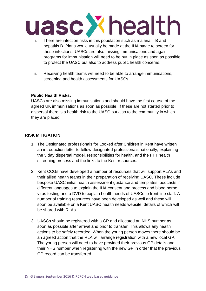- i. There are infection risks in this population such as malaria, TB and hepatitis B. Plans would usually be made at the IHA stage to screen for these infections. UASCs are also missing immunisations and again programs for immunisation will need to be put in place as soon as possible to protect the UASC but also to address public health concerns.
- ii. Receiving health teams will need to be able to arrange immunisations, screening and health assessments for UASCs.

# **Public Health Risks:**

UASCs are also missing immunisations and should have the first course of the agreed UK immunisations as soon as possible. If these are not started prior to dispersal there is a health risk to the UASC but also to the community in which they are placed.

# **RISK MITIGATION**

- 1. The Designated professionals for Looked after Children in Kent have written an introduction letter to fellow designated professionals nationally, explaining the 5 day dispersal model, responsibilities for health, and the FTT health screening process and the links to the Kent resources.
- 2. Kent CCGs have developed a number of resources that will support RLAs and their allied health teams in their preparation of receiving UASC. These include bespoke UASC initial health assessment guidance and templates, podcasts in different languages to explain the IHA consent and process and blood borne virus testing and a DVD to explain health needs of UASCs to front line staff. A number of training resources have been developed as well and these will soon be available on a Kent UASC health needs website, details of which will be shared with RLAs.
- 3. UASCs should be registered with a GP and allocated an NHS number as soon as possible after arrival and prior to transfer. This allows any health actions to be safely recorded. When the young person moves there should be an agreed action that the RLA will arrange registration with a new local GP. The young person will need to have provided their previous GP details and their NHS number when registering with the new GP in order that the previous GP record can be transferred.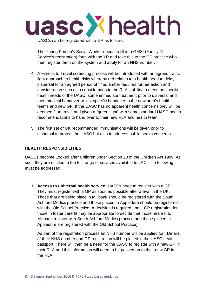

UASCs can be registered with a GP as follows:

The Young Person's Social Worker needs to fill in a GMSI (Family Dr Service's registration) form with the YP and take this to the GP practice who then register them on the system and apply for an NHS number.

- 4. A Fitness to Travel screening process will be introduced with an agreed traffic light approach to health risks whereby red relates to a health need to delay dispersal for an agreed period of time, amber requires further action and consideration such as a consideration to the RLA's ability to meet the specific health needs of the UASC, some immediate treatment prior to dispersal and then medical handover or just specific handover to the new area's health teams and new GP. If the UASC has no apparent health concerns they will be deemed fit to travel and given a "green light" with some standard UASC health recommendations to hand over to their new RLA and health team.
- 5. The first set of UK recommended immunisations will be given prior to dispersal to protect the UASC but also to address public health concerns.

# **HEALTH RESPONSIBILITIES**

UASCs become Looked after Children under Section 20 of the Children Act 1989. As such they are entitled to the full range of services available to LAC. The following must be addressed:

1. **Access to universal health service:** UASCs need to register with a GP. They must register with a GP as soon as possible after arrival in the UK. Those that are being place in Millbank should be registered with the South Ashford Medics practice and those placed in Appledore should be registered with the Old School Practice. A decision is required about GP registration for those in foster care (it may be appropriate to decide that those nearest to Millbank register with South Ashford Medics practice and those placed in Appledore are registered with the Old School Practice).

As part of the registration process an NHS number will be applied for. Details of their NHS number and GP registration will be placed in the UASC health passport. There will then be a need for the UASC to register with a new GP in their RLA and this information will need to be passed on to their new GP in the RLA.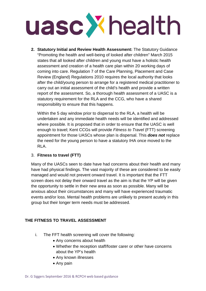

**2. Statutory Initial and Review Health Assessment:** The Statutory Guidance "Promoting the health and well-being of looked after children" March 2015 states that all looked after children and young must have a holistic health assessment and creation of a health care plan within 20 working days of coming into care. Regulation 7 of the Care Planning, Placement and Case Review (England) Regulations 2010 requires the local authority that looks after the child/young person to arrange for a registered medical practitioner to carry out an initial assessment of the child's health and provide a written report of the assessment. So, a thorough health assessment of a UASC is a statutory requirement for the RLA and the CCG, who have a shared responsibility to ensure that this happens.

Within the 5 day window prior to dispersal to the RLA, a health will be undertaken and any immediate health needs will be identified and addressed where possible. It is proposed that in order to ensure that the UASC is well enough to travel; Kent CCGs will provide *Fitness to Travel* (FTT) screening appointment for those UASCs whose plan is dispersal. This *does not* replace the need for the young person to have a statutory IHA once moved to the RLA.

# 3. **Fitness to travel (FTT)**

Many of the UASCs seen to date have had concerns about their health and many have had physical findings. The vast majority of these are considered to be easily managed and would not prevent onward travel. It is important that the FTT screen does not delay their onward travel as the aim is that the YP will be given the opportunity to settle in their new area as soon as possible. Many will be anxious about their circumstances and many will have experienced traumatic events and/or loss. Mental health problems are unlikely to present acutely in this group but their longer term needs must be addressed.

# **THE FITNESS TO TRAVEL ASSESSMENT**

- i. The FFT health screening will cover the following:
	- Any concerns about health
	- Whether the reception staff/foster carer or other have concerns about the YP's health
	- Any known illnesses
	- Any pain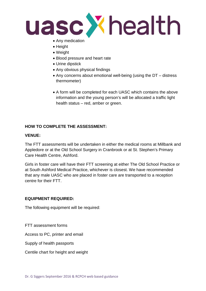

- Any medication
- Height
- Weight
- Blood pressure and heart rate
- Urine dipstick
- Any obvious physical findings
- Any concerns about emotional well-being (using the DT distress thermometer)
- A form will be completed for each UASC which contains the above information and the young person's will be allocated a traffic light health status – red, amber or green.

# **HOW TO COMPLETE THE ASSESSMENT:**

#### **VENUE:**

The FTT assessments will be undertaken in either the medical rooms at Millbank and Appledore or at the Old School Surgery in Cranbrook or at St. Stephen's Primary Care Health Centre, Ashford.

Girls in foster care will have their FTT screening at either The Old School Practice or at South Ashford Medical Practice, whichever is closest. We have recommended that any male UASC who are placed in foster care are transported to a reception centre for their FTT.

# **EQUIPMENT REQUIRED:**

The following equipment will be required:

FTT assessment forms

Access to PC, printer and email

Supply of health passports

Centile chart for height and weight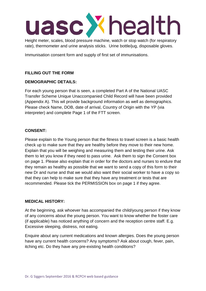Height meter, scales, blood pressure machine, watch or stop watch (for respiratory rate), thermometer and urine analysis sticks. Urine bottle/jug, disposable gloves.

Immunisation consent form and supply of first set of immunisations.

# **FILLING OUT THE FORM**

# **DEMOGRAPHIC DETAILS:**

For each young person that is seen, a completed Part A of the National UASC Transfer Scheme Unique Unaccompanied Child Record will have been provided (Appendix A). This wil provide background information as well as demographics. Please check Name, DOB, date of arrival, Country of Origin with the YP (via interpreter) and complete Page 1 of the FTT screen.

# **CONSENT:**

Please explain to the Young person that the fitness to travel screen is a basic health check up to make sure that they are healthy before they move to their new home. Explain that you will be weighing and measuring them and testing their urine. Ask them to let you know if they need to pass urine. Ask them to sign the Consent box on page 1. Please also explain that in order for the doctors and nurses to endure that they remain as healthy as possible that we want to send a copy of this form to their new Dr and nurse and that we would also want their social worker to have a copy so that they can help to make sure that they have any treatment or tests that are recommended. Please tick the PERMISSION box on page 1 if they agree.

# **MEDICAL HISTORY:**

At the beginning, ask whoever has accompanied the child/young person if they know of any concerns about the young person. You want to know whether the foster care (if applicable) has noticed anything of concern and the reception centre staff. E.g. Excessive sleeping, distress, not eating.

Enquire about any current medications and known allergies. Does the young person have any current health concerns? Any symptoms? Ask about cough, fever, pain, itching etc. Do they have any pre-existing health conditions?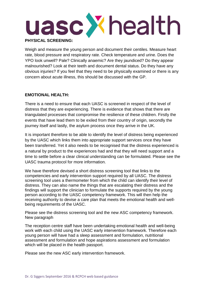

Weigh and measure the young person and document their centiles. Measure heart rate, blood pressure and respiratory rate. Check temperature and urine. Does the YPO look unwell? Pale? Clinically anaemic? Are they jaundiced? Do they appear malnourished? Look at their teeth and document dental status. Do they have any obvious injuries? If you feel that they need to be physically examined or there is any concern about acute illness, this should be discussed with the GP.

#### **EMOTIONAL HEALTH:**

There is a need to ensure that each UASC is screened in respect of the level of distress that they are experiencing. There is evidence that shows that there are triangulated processes that compromise the resilience of these children. Firstly the events that have lead them to be exiled from their country of origin, secondly the journey itself and lastly, the asylum process once they arrive in the UK.

It is important therefore to be able to identify the level of distress being experienced by the UASC which links them into appropriate support services once they have been transferred. Yet it also needs to be recognised that the distress experienced is a natural by product to the experiences had and that they will need support and a time to settle before a clear clinical understanding can be formulated. Please see the UASC trauma protocol for more information.

We have therefore devised a short distress screening tool that links to the competencies and early intervention support required by all UASC. The distress screening tool uses a thermometer from which the child can identify their level of distress. They can also name the things that are escalating their distress and the findings will support the clinician to formulate the supports required by the young person according to the UASC competency framework. This will then help the receiving authority to devise a care plan that meets the emotional health and wellbeing requirements of the UASC.

Please see the distress screening tool and the new ASC competency framework. New paragraph

The reception centre staff have been undertaking emotional health and well-being work with each child using the UASC early intervention framework. Therefore each young person will have had a sleep assessment and formulation, nutritional assessment and formulation and hope aspirations assessment and formulation which will be placed in the health passport.

Please see the new ASC early intervention framework.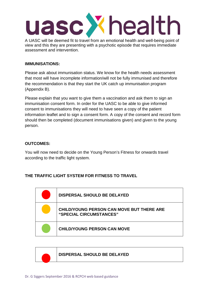

A UASC will be deemed fit to travel from an emotional health and well-being point of view and this they are presenting with a psychotic episode that requires immediate assessment and intervention.

#### **IMMUNISATIONS:**

Please ask about immunisation status. We know for the health needs assessment that most will have incomplete information/will not be fully immunised and therefore the recommendation is that they start the UK catch up immunisation program (Appendix B).

Please explain that you want to give them a vaccination and ask them to sign an immunisation consent form. In order for the UASC to be able to give informed consent to immunisations they will need to have seen a copy of the patient information leaflet and to sign a consent form. A copy of the consent and record form should then be completed (document immunisations given) and given to the young person.

#### **OUTCOMES:**

You will now need to decide on the Young Person's Fitness for onwards travel according to the traffic light system.

# **THE TRAFFIC LIGHT SYSTEM FOR FITNESS TO TRAVEL**

| <b>DISPERSAL SHOULD BE DELAYED</b>                                   |
|----------------------------------------------------------------------|
| CHILD/YOUNG PERSON CAN MOVE BUT THERE ARE<br>"SPECIAL CIRCUMSTANCES" |
| <b>CHILD/YOUNG PERSON CAN MOVE</b>                                   |

#### **DISPERSAL SHOULD BE DELAYED**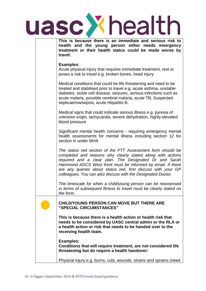|  | uasc X health                                                                                                                                                                                                                                                                                                                                                                      |
|--|------------------------------------------------------------------------------------------------------------------------------------------------------------------------------------------------------------------------------------------------------------------------------------------------------------------------------------------------------------------------------------|
|  | This is because there is an immediate and serious risk to<br>health and the young person either needs emergency<br>treatment or their health status could be made worse by<br>travel.                                                                                                                                                                                              |
|  | <b>Examples:</b><br>Acute physical injury that requires immediate treatment, rest or<br>poses a risk to travel e.g. broken bones, head injury                                                                                                                                                                                                                                      |
|  | Medical conditions that could be life threatening and need to be<br>treated and stabilised prior to travel e.g. acute asthma, unstable<br>diabetes, sickle cell disease, seizures, serious infections such as<br>acute malaria, possible cerebral malaria, acute TB, Suspected<br>septicaemia/sepsis, acute Hepatitis B.                                                           |
|  | Medical signs that could indicate serious illness e.g. pyrexia of<br>unknown origin, tachycardia, severe dehydration, highly elevated<br>blood pressure                                                                                                                                                                                                                            |
|  | Significant mental health concerns - requiring emergency mental<br>health assessments for mental illness including section 12 for<br>section in under MHA                                                                                                                                                                                                                          |
|  | The status red section of the FTT Assessment form should be<br>completed and reasons why clearly stated along with actions<br>required and a clear plan. The Designated Dr and Sarah<br>Hammond ADCS West Kent must be informed by email. If there<br>are any queries about status red, first discuss with your GP<br>colleagues. You can also discuss with the Designated Doctor. |
|  | The timescale for when a child/young person can be reassessed<br>in terms of subsequent fitness to travel must be clearly stated on<br>the form.                                                                                                                                                                                                                                   |
|  | <b>CHILD/YOUNG PERSON CAN MOVE BUT THERE ARE</b><br>"SPECIAL CIRCUMSTANCES"                                                                                                                                                                                                                                                                                                        |
|  | This is because there is a health action or health risk that<br>needs to be considered by UASC central admin or the RLA or<br>a health action or risk that needs to be handed over to the<br>receiving health team.                                                                                                                                                                |
|  | <b>Examples:</b><br>Conditions that will require treatment, are not considered life<br>threatening but do require a health handover:                                                                                                                                                                                                                                               |
|  | Physical injury e.g. burns, cuts, wounds, strains and sprains (need                                                                                                                                                                                                                                                                                                                |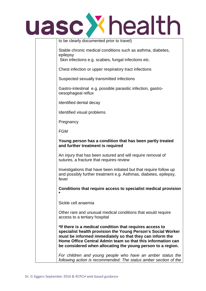

| to be clearly documented prior to travel)                                                                                                                                                                                                                                                                          |
|--------------------------------------------------------------------------------------------------------------------------------------------------------------------------------------------------------------------------------------------------------------------------------------------------------------------|
| Stable chronic medical conditions such as asthma, diabetes,<br>epilepsy                                                                                                                                                                                                                                            |
| Skin infections e.g. scabies, fungal infections etc.                                                                                                                                                                                                                                                               |
| Chest infection or upper respiratory tract infections                                                                                                                                                                                                                                                              |
| Suspected sexually transmitted infections                                                                                                                                                                                                                                                                          |
| Gastro-intestinal e.g. possible parasitic infection, gastro-<br>oesophageal reflux                                                                                                                                                                                                                                 |
| Identified dental decay                                                                                                                                                                                                                                                                                            |
| Identified visual problems                                                                                                                                                                                                                                                                                         |
| Pregnancy                                                                                                                                                                                                                                                                                                          |
| <b>FGM</b>                                                                                                                                                                                                                                                                                                         |
| Young person has a condition that has been partly treated<br>and further treatment is required                                                                                                                                                                                                                     |
| An injury that has been sutured and will require removal of<br>sutures, a fracture that requires review                                                                                                                                                                                                            |
| Investigations that have been initiated but that require follow up<br>and possibly further treatment e.g. Asthmas, diabetes, epilepsy,<br>fever                                                                                                                                                                    |
| Conditions that require access to specialist medical provision<br>*                                                                                                                                                                                                                                                |
| Sickle cell anaemia                                                                                                                                                                                                                                                                                                |
| Other rare and unusual medical conditions that would require<br>access to a tertiary hospital                                                                                                                                                                                                                      |
| *If there is a medical condition that requires access to<br>specialist health provision the Young Person's Social Worker<br>must be informed immediately so that they can inform the<br>Home Office Central Admin team so that this information can<br>be considered when allocating the young person to a region. |
| For children and young people who have an amber status the<br>following action is recommended: The status amber section of the                                                                                                                                                                                     |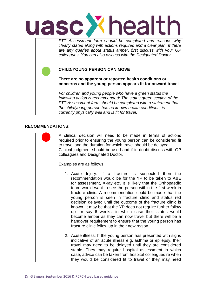

*FTT Assessment form should be completed and reasons why clearly stated along with actions required and a clear plan. If there are any queries about status amber, first discuss with your GP colleagues. You can also discuss with the Designated Doctor. .* **CHILD/YOUNG PERSON CAN MOVE There are no apparent or reported health conditions or concerns and the young person appears fit for onward travel** *For children and young people who have a green status the following action is recommended: The status green section of the FTT Assessment form should be completed with a statement that the child/young person has no known health conditions, is currently physically well and is fit for travel*.

#### **RECOMMENDATIONS:**

A clinical decision will need to be made in terms of actions required prior to ensuring the young person can be considered fit to travel and the duration for which travel should be delayed. Clinical judgment should be used and if in doubt discuss with GP colleagues and Designated Doctor.

Examples are as follows:

- 1. Acute Injury: If a fracture is suspected then the recommendation would be for the YP to be taken to A&E for assessment, X-ray etc. It is likely that the Orthopaedic team would want to see the person within the first week in fracture clinic. A recommendation could be made that the young person is seen in fracture clinic and status red decision delayed until the outcome of the fracture clinic is known. It may be that the YP does not require further follow up for say 6 weeks, in which case their status would become amber as they can now travel but there will be a handover requirement to ensure that the young person has fracture clinic follow up in their new region.
- 2. Acute illness: If the young person has presented with signs indicative of an acute illness e.g. asthma or epilepsy, their travel may need to be delayed until they are considered stable. They may require hospital assessment in which case, advice can be taken from hospital colleagues re when they would be considered fit to travel or they may need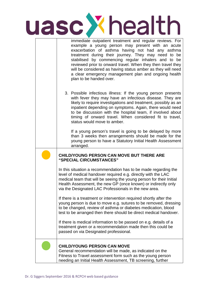

| immediate outpatient treatment and regular reviews. For<br>example a young person may present with an acute<br>exacerbation of asthma having not had any asthma<br>treatment during their journey. They may need to be<br>stabilised by commencing regular inhalers and to be<br>reviewed prior to onward travel. When they then travel they<br>will be considered as having status amber as they will need<br>a clear emergency management plan and ongoing health<br>plan to be handed over. |
|------------------------------------------------------------------------------------------------------------------------------------------------------------------------------------------------------------------------------------------------------------------------------------------------------------------------------------------------------------------------------------------------------------------------------------------------------------------------------------------------|
| 3. Possible infectious illness: If the young person presents<br>with fever they may have an infectious disease. They are<br>likely to require investigations and treatment, possibly as an<br>inpatient depending on symptoms. Again, there would need<br>to be discussion with the hospital team, if involved about<br>timing of onward travel. When considered fit to travel,<br>status would move to amber.                                                                                 |
| If a young person's travel is going to be delayed by more<br>than 3 weeks then arrangements should be made for the<br>young person to have a Statutory Initial Health Assessment<br>arranged.                                                                                                                                                                                                                                                                                                  |
| <b>CHILD/YOUNG PERSON CAN MOVE BUT THERE ARE</b>                                                                                                                                                                                                                                                                                                                                                                                                                                               |
| "SPECIAL CIRCUMSTANCES"                                                                                                                                                                                                                                                                                                                                                                                                                                                                        |
| In this situation a recommendation has to be made regarding the<br>level of medical handover required e.g. directly with the LAC<br>medical team that will be seeing the young person for their Initial<br>Health Assessment, the new GP (once known) or indirectly only<br>via the Designated LAC Professionals in the new area.                                                                                                                                                              |
| If there is a treatment or intervention required shortly after the<br>young person is due to move e.g. sutures to be removed, dressing<br>to be changed, review of asthma or diabetes medication, blood<br>test to be arranged then there should be direct medical handover.                                                                                                                                                                                                                   |
| If there is medical information to be passed on e.g. details of a<br>treatment given or a recommendation made then this could be<br>passed on via Designated professional.                                                                                                                                                                                                                                                                                                                     |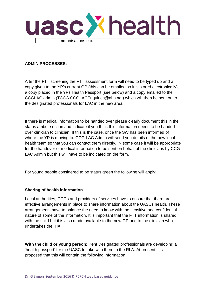

### **ADMIN PROCESSES:**

After the FTT screening the FTT assessment form will need to be typed up and a copy given to the YP's current GP (this can be emailed so it is stored electronically), a copy placed in the YPs Health Passport (see below) and a copy emailed to the CCGLAC admin (TCCG.CCGLACEnquiries@nhs.net) which will then be sent on to the designated professionals for LAC in the new area.

If there is medical information to be handed over please clearly document this in the status amber section and indicate if you think this information needs to be handed over clinician to clinician. If this is the case, once the SW has been informed of where the YP is moving to. CCG LAC Admin will send you details of the new local health team so that you can contact them directly. IN some case it will be appropriate for the handover of medical information to be sent on behalf of the clinicians by CCG LAC Admin but this will have to be indicated on the form.

For young people considered to be status green the following will apply:

# **Sharing of health information**

Local authorities, CCGs and providers of services have to ensure that there are effective arrangements in place to share information about the UASCs health. These arrangements have to balance the need to know with the sensitive and confidential nature of some of the information. It is important that the FTT information is shared with the child but it is also made available to the new GP and to the clinician who undertakes the IHA.

**With the child or young person:** Kent Designated professionals are developing a 'health passport' for the UASC to take with them to the RLA. At present it is proposed that this will contain the following information: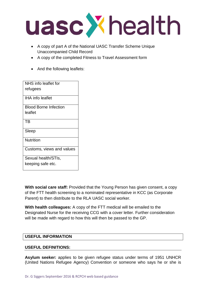

- A copy of part A of the National UASC Transfer Scheme Unique Unaccompanied Child Record
- A copy of the completed Fitness to Travel Assessment form
- And the following leaflets:

| NHS info leaflet for         |
|------------------------------|
| refugees                     |
| IHA info leaflet             |
| <b>Blood Borne Infection</b> |
| leaflet                      |
| TR                           |
| Sleep                        |
| Nutrition                    |
| Customs, views and values    |
| Sexual health/STIs,          |
| keeping safe etc.            |

**With social care staff:** Provided that the Young Person has given consent, a copy of the FTT health screening to a nominated representative in KCC (as Corporate Parent) to then distribute to the RLA UASC social worker.

**With health colleagues:** A copy of the FTT medical will be emailed to the Designated Nurse for the receiving CCG with a cover letter. Further consideration will be made with regard to how this will then be passed to the GP.

# **USEFUL INFORMATION**

#### **USEFUL DEFINITIONS:**

**Asylum seeker:** applies to be given refugee status under terms of 1951 UNHCR (United Nations Refugee Agency) Convention or someone who says he or she is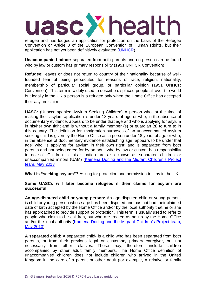refugee and has lodged an application for protection on the basis of the Refugee Convention or Article 3 of the European Convention of Human Rights, but their application has not yet been definitively evaluated [\(UNHCR\)](http://www.unhcr.org/pages/49c3646c137.html).

**Unaccompanied minor:** separated from both parents and no person can be found who by law or custom has primary responsibility (1951 UNHCR Convention)

**Refugee:** leaves or does not return to country of their nationality because of wellfounded fear of being persecuted for reasons of race, religion, nationality, membership of particular social group, or particular opinion (1951 UNHCR Convention). This term is widely used to describe displaced people all over the world but legally in the UK a person is a refugee only when the Home Office has accepted their asylum claim

**UASC:** (Unaccompanied Asylum Seeking Children) A person who, at the time of making their asylum application is under 18 years of age or who, in the absence of documentary evidence, appears to be under that age and who is applying for asylum in his/her own tight and is without a family member (s) or guardian (s) to turn to in this country. The definition for immigration purposes of an unaccompanied asylum seeking child is given by the Home Office as 'a person under 18 years of age or who, in the absence of documentary evidence establishing age, appears to be under that age' who 'is applying for asylum in their own right; and is separated from both parents and not being cared for by an adult who by law or custom has responsibility to do so'. Children in this situation are also known as separated children or unaccompanied minors (UAM) [\(Kamena Dorling and the Migrant Children's Project](http://www.childrenslegalcentre.com/userfiles/file/HappyBirthday_Final.pdf)  [team, May 2013](http://www.childrenslegalcentre.com/userfiles/file/HappyBirthday_Final.pdf)

**What is "seeking asylum"?** Asking for protection and permission to stay in the UK

#### **Some UASCs will later become refugees if their claims for asylum are successful**

**An age-disputed child or young person:** An age-disputed child or young personis child or young person whose age has been disputed and has not had their claimed date of birth accepted by the Home Office and/or by the local authority that he or she has approached to provide support or protection. This term is usually used to refer to people who claim to be children, but who are treated as adults by the Home Office and/or the local authority (Kamena Dorling and the Migrant Children's Project team, [May 2013\)](http://www.childrenslegalcentre.com/userfiles/file/HappyBirthday_Final.pdf)

**A separated child:** A separated child- is a child who has been separated from both parents, or from their previous legal or customary primary caregiver, but not necessarily from other relatives. These may, therefore, include children accompanied by other adult family members. The Home Office definition of unaccompanied children does not include children who arrived in the United Kingdom in the care of a parent or other adult (for example, a relative or family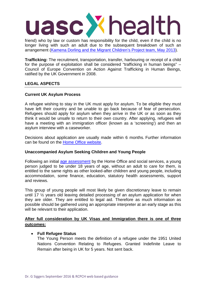

friend) who by law or custom has responsibility for the child, even if the child is no longer living with such an adult due to the subsequent breakdown of such an arrangement [\(Kamena Dorling and the Migrant Children's Project team, May 2013\)](http://www.childrenslegalcentre.com/userfiles/file/HappyBirthday_Final.pdf).

**Trafficking:** The recruitment, transportation, transfer, harbouring or receipt of a child for the purpose of exploitation shall be considered "trafficking in human beings" – Council of Europe Convention on Action Against Trafficking in Human Beings, ratified by the UK Government in 2008.

#### **LEGAL ASPECTS**

#### **Current UK Asylum Process**

A refugee wishing to stay in the UK must apply for asylum. To be eligible they must have left their country and be unable to go back because of fear of persecution. Refugees should apply for asylum when they arrive in the UK or as soon as they think it would be unsafe to return to their own country. After applying, refugees will have a meeting with an immigration officer (known as a 'screening') and then an asylum interview with a caseworker.

Decisions about application are usually made within 6 months. Further information can be found on the [Home Office website.](https://www.gov.uk/claim-asylum/overview)

#### **Unaccompanied Asylum Seeking Children and Young People**

Following an initial [age assessment](http://www.rcpch.ac.uk/improving-child-health/child-protection/refugee-and-unaccompanied-asylum-seeking-children-and-youn-3) by the Home Office and social services, a young person judged to be under 18 years of age, without an adult to care for them, is entitled to the same rights as other looked-after children and young people, including accommodation, some finance, education, statutory health assessments, support and reviews.

This group of young people will most likely be given discretionary leave to remain until 17 ½ years old leaving detailed processing of an asylum application for when they are older. They are entitled to legal aid. Therefore as much information as possible should be gathered using an appropriate interpreter at an early stage as this will be relevant to their application.

# **After full consideration by UK Visas and Immigration there is one of three outcomes:**

#### • **Full Refugee Status**

The Young Person meets the definition of a refugee under the 1951 United Nations Convention Relating to Refugees. Granted Indefinite Leave to Remain after being in UK for 5 years. Not sent back.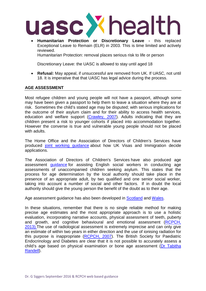

• **Humanitarian Protection or Discretionary Leave -** this replaced Exceptional Leave to Remain (ELR) in 2003. This is time limited and actively reviewed.

Humanitarian Protection: removal places serious risk to life or person

Discretionary Leave: the UASC is allowed to stay until aged 18

• **Refusal:** May appeal, if unsuccessful are removed from UK. If UASC, not until 18. It is imperative that that UASC has legal advice during the process.

#### **AGE ASSESSMENT**

Most refugee children and young people will not have a passport, although some may have been given a passport to help them to leave a situation where they are at risk. Sometimes the child's stated age may be disputed; with serious implications for the outcome of their asylum claim and for their ability to access health services, education and welfare support [\(Crawley, 2007\)](http://www.ilpa.org.uk/pages/publications.html). Adults indicating that they are children present a risk to younger cohorts if placed into accommodation together. However the converse is true and vulnerable young people should not be placed with adults.

The Home Office and the Association of Directors of Children's Services have produced [joint working guidance](https://www.gov.uk/government/uploads/system/uploads/attachment_data/file/432724/Age_Assessment_Joint_Working_Guidance__April_2015__Final_agreed_v2_EXT.pdf) about how UK Visas and Immigration decide applications.

The Association of Directors of Children's Services have also produced age assessment [guidance](http://adcs.org.uk/safeguarding/article/age-assessment-information-sharing-for-unaccompanied-asylum-seeking-childre) for assisting English social workers in conducting age assessments of unaccompanied children seeking asylum. This states that the process for age determination by the local authority should take place in the presence of an appropriate adult, by two qualified and one senior social worker, taking into account a number of social and other factors. If in doubt the local authority should give the young person the benefit of the doubt as to their age.

Age assessment guidance has also been developed in [Scotland](http://www.scottishrefugeecouncil.org.uk/news_and_events/latest_news/1725_scottish_refugee_council_launches_guidance_to_help_social_workers_assess_age_of_young_people_seeking_asylum) and [Wales.](http://www.wsmp.org.uk/documents/wsmp/News%20and%20Events/150330%20Age%20Assessment%20Toolkit%20Final%20July.pdf)

In these situations, remember that there is no single reliable method for making precise age estimates and the most appropriate approach is to use a holistic evaluation, incorporating narrative accounts, physical assessment of teeth, puberty and growth, and cognitive behavioural and emotional assessment [\(RCPCH,](http://www.rcpch.ac.uk/child-protection-companion)  [2013\).T](http://www.rcpch.ac.uk/child-protection-companion)he use of radiological assessment is extremely imprecise and can only give an estimate of within two years in either direction and the use of ionising radiation for this purpose is inappropriate [\(RCPCH, 2007\)](http://www.rcpch.ac.uk/sites/default/files/asset_library/Policy%20and%20Standards/X%20rays%20and%20asylum%20seeking%20children%20policy%20statement.pdf). The British Society for Paediatric Endocrinology and Diabetes are clear that it is not possible to accurately assess a child's age based on physical examination or bone age assessment [\(Dr Tabitha](http://www.bsped.org.uk/clinical/docs/BSPEDStatementOnPaediatricAgeAssessment.pdf)  [Randell\)](http://www.bsped.org.uk/clinical/docs/BSPEDStatementOnPaediatricAgeAssessment.pdf).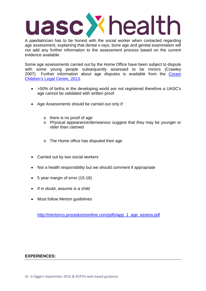A paediatrician has to be honest with the social worker when contacted regarding age assessment, explaining that dental x-rays, bone age and genital examination will not add any further information to the assessment process based on the current evidence available.

Some age assessments carried out by the Home Office have been subject to dispute with some young people subsequently assessed to be minors (Crawley 2007). Further information about age disputes is available from the [Coram](http://www.childrenslegalcentre.com/userfiles/file/HappyBirthday_Final.pdf)  [Children's Legal Centre, 2013.](http://www.childrenslegalcentre.com/userfiles/file/HappyBirthday_Final.pdf)

- >50% of births in the developing world are not registered therefore a UASC's age cannot be validated with written proof.
- Age Assessments should be carried out only if:
	- o there is no proof of age
	- o Physical appearance/demeanour suggest that they may be younger or older than claimed
	- o The Home office has disputed their age
- Carried out by two social workers
- Not a health responsibility but we should comment if appropriate
- 5 year margin of error (15-18)
- If in doubt, assume is a child
- Must follow Merton quidelines

[http://mertoncs.proceduresonline.com/pdfs/app\\_1\\_age\\_assess.pdf](http://mertoncs.proceduresonline.com/pdfs/app_1_age_assess.pdf)

#### **EXPERIENCES:**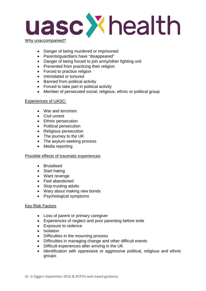

- Why unaccompanied?
	- Danger of being murdered or imprisoned
	- Parents/guardians have "disappeared"
	- Danger of being forced to join army/other fighting unit
	- Prevented from practicing their religion
	- Forced to practice religion
	- Intimidated or tortured
	- Banned from political activity
	- Forced to take part in political activity
	- Member of persecuted social, religious, ethnic or political group

#### Experiences of UASC:

- War and terrorism
- Civil unrest
- Ethnic persecution
- Political persecution
- Religious persecution
- The journey to the UK
- The asylum-seeking process
- Media reporting

#### Possible effects of traumatic experiences

- Brutalised
- Start hating
- Want revenge
- Feel abandoned
- Stop trusting adults
- Wary about making new bonds
- Psychological symptoms

#### Key Risk Factors

- Loss of parent or primary caregiver
- Experiences of neglect and poor parenting before exile
- Exposure to violence
- Isolation
- Difficulties in the mourning process
- Difficulties in managing change and other difficult events
- Difficult experiences after arriving in the UK
- Identification with oppressive or aggressive political, religious and ethnic groups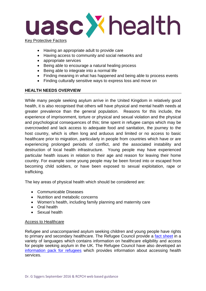

- Having an appropriate adult to provide care
- Having access to community and social networks and
- appropriate services
- Being able to encourage a natural healing process
- Being able to integrate into a normal life
- Finding meaning in what has happened and being able to process events
- Finding culturally sensitive ways to express loss and move on

#### **HEALTH NEEDS OVERVIEW**

While many people seeking asylum arrive in the United Kingdom in relatively good health, it is also recognised that others will have physical and mental health needs at greater prevalence than the general population. Reasons for this include, the experience of imprisonment, torture or physical and sexual violation and the physical and psychological consequences of this; time spent in refugee camps which may be overcrowded and lack access to adequate food and sanitation, the journey to the host country, which is often long and arduous and limited or no access to basic healthcare prior to migration, particularly in people from countries which have or are experiencing prolonged periods of conflict, and the associated instability and destruction of local health infrastructure. Young people may have experienced particular health issues in relation to their age and reason for leaving their home country. For example some young people may be been forced into or escaped from becoming child soldiers, or have been exposed to sexual exploitation, rape or trafficking.

The key areas of physical health which should be considered are:

- Communicable Diseases
- Nutrition and metabolic concerns
- Women's health, including family planning and maternity care
- Oral health
- Sexual health

#### Access to Healthcare

Refugee and unaccompanied asylum seeking children and young people have rights to primary and secondary healthcare. The Refugee Council provide a [fact sheet](http://www.refugeecouncil.org.uk/hscvproject/access) in a variety of languages which contains information on healthcare eligibility and access for people seeking asylum in the UK. The Refugee Council have also developed an [information pack for refugees](http://www.refugeecouncil.org.uk/assets/0003/6009/Information_pack_for_refugees_Oct_2015.pdf) which provides information about accessing health services.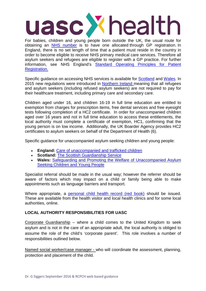For babies, children and young people born outside the UK, the usual route for obtaining an [NHS number](http://systems.hscic.gov.uk/nhsnumber/patients/faqs) is to have one allocated through GP registration. In England, there is no set length of time that a patient must reside in the country in order to become eligible to receive NHS primary medical care services. Therefore all asylum seekers and refugees are eligible to register with a GP practice. For further information, see NHS England's [Standard Operating Principles for Patient](http://www.england.nhs.uk/commissioning/wp-content/uploads/sites/12/2015/11/pat-reg-sop-pmc-gp.pdf)  [Registration.](http://www.england.nhs.uk/commissioning/wp-content/uploads/sites/12/2015/11/pat-reg-sop-pmc-gp.pdf)

Specific guidance on accessing NHS services is available for [Scotland](http://www.nhsinform.co.uk/rights/usingnhs/access/overseas-visitors/asylum-seekers/) and [Wales.](http://www.wales.nhs.uk/sitesplus/888/news/14727) In 2015 new regulations were introduced in [Northern Ireland m](http://www.lawcentreni.org/Publications/Policy-Briefings/New-NI-Regulations-healthcare-for-migrants-SUMMARY-March-15.pdf)eaning that all refugees and asylum seekers (including refused asylum seekers) are not required to pay for their healthcare treatment, including primary care and secondary care.

Children aged under 16, and children 16-19 in full time education are entitled to exemption from charges for prescription items, free dental services and free eyesight tests following completion of a HC2 certificate. In order for unaccompanied children aged over 16 years and not in full time education to access these entitlements, the local authority must complete a certificate of exemption, HC1, confirming that the young person is on low income. Additionally, the UK Boarder Agency provides HC2 certificates to asylum seekers on behalf of the Department of Health (6).

Specific guidance for unaccompanied asylum seeking children and young people:

- **England:** [Care of unaccompanied and trafficked children](https://www.gov.uk/government/publications/care-of-unaccompanied-and-trafficked-children)
- **Scotland:** [The Scottish Guardianship Service](http://www.gov.scot/Topics/People/Young-People/protecting/lac/guardianship)
- **Wales:** [Safeguarding and Promoting the Welfare of Unaccompanied Asylum](http://www.childreninwales.org.uk/wp-content/uploads/2015/09/Safeguarding-and-Promoting-the-Welfare-of-Unaccompanied-Asylum-Seeking-Children-and-Young-People-All-Wales-Practice-Guidance.pdf)  [Seeking Children and Young People](http://www.childreninwales.org.uk/wp-content/uploads/2015/09/Safeguarding-and-Promoting-the-Welfare-of-Unaccompanied-Asylum-Seeking-Children-and-Young-People-All-Wales-Practice-Guidance.pdf)

Specialist referral should be made in the usual way; however the referrer should be aware of factors which may impact on a child or family being able to make appointments such as language barriers and transport.

Where appropriate, a [personal child health record \(red book\)](http://www.rcpch.ac.uk/improving-child-health/public-health/personal-child-health-record/personal-child-health-record) should be issued. These are available from the health visitor and local health clinics and for some local authorities, online.

# **LOCAL AUTHORITY RESPONSIBILITIES FOR UASC**

Corporate Guardianship – where a child comes to the United Kingdom to seek asylum and is not in the care of an appropriate adult, the local authority is obliged to assume the role of the child's 'corporate parent'. This role involves a number of responsibilities outlined below.

Named social worker/case manager - who will coordinate the assessment, planning, protection and placement of the child.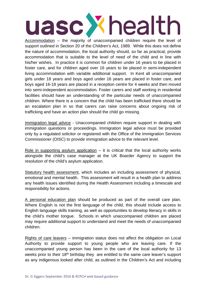Accommodation – the majority of unaccompanied children require the level of support outlined in Section 20 of the Children's Act, 1989. While this does not define the nature of accommodation, the local authority should, so far as practical, provide accommodation that is suitable to the level of need of the child and in line with his/her wishes. In practice it is common for children under 16 years to be placed in foster care, and for children aged over 16 years to be placed in semi-independent living accommodation with variable additional support. In Kent all unaccompanied girls under 18 years and boys aged under 16 years are placed in foster care, and boys aged 16-18 years are placed in a reception centre for 4 weeks and then moved into semi-independent accommodation. Foster carers and staff working in residential facilities should have an understanding of the particular needs of unaccompanied children. Where there is a concern that the child has been trafficked there should be an escalation plan in so that carers can raise concerns about ongoing risk of trafficking and have an action plan should the child go missing.

Immigration legal advice - Unaccompanied children require support in dealing with immigration questions or proceedings. Immigration legal advice must be provided only by a regulated solicitor or registered with the Office of the Immigration Services Commissioner (OISC) to provide immigration advice to the relevant level.

Role in supporting asylum application  $-$  it is critical that the local authority works alongside the child's case manager at the UK Boarder Agency to support the resolution of the child's asylum application.

Statutory health assessment, which includes an including assessment of physical, emotional and mental health. This assessment will result in a health plan to address any health issues identified during the Health Assessment including a timescale and responsibility for actions.

A personal education plan should be produced as part of the overall care plan. Where English is not the first language of the child, this should include access to English language skills training, as well as opportunities to develop literacy in skills in the child's mother tongue. Schools in which unaccompanied children are placed may require additional support to understand and meet the needs of unaccompanied children.

Rights of care leavers – immigration status does not affect the obligation on Local Authority to provide support to young people who are leaving care. If the unaccompanied young person has been in the care of the local authority for 13 weeks prior to their 18<sup>th</sup> birthday they are entitled to the same care leaver's support as any indigenous looked after child, as outlined in the Children's Act and including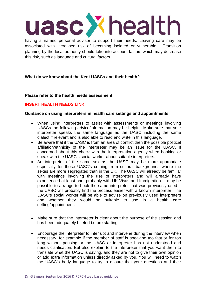having a named personal advisor to support their needs. Leaving care may be associated with increased risk of becoming isolated or vulnerable. Transition planning by the local authority should take into account factors which may decrease this risk, such as language and cultural factors.

# **What do we know about the Kent UASCs and their health?**

#### **Please refer to the health needs assessment**

# **INSERT HEALTH NEEDS LINK**

#### **Guidance on using interpreters in health care settings and appointments**

- When using interpreters to assist with assessments or meetings involving UASCs the following advice/information may be helpful: Make sure that your interpreter speaks the same language as the UASC including the same dialect if relevant and is also able to read and write in this language.
- Be aware that if the UASC is from an area of conflict then the possible political affiliation/ethnicity of the interpreter may be an issue for the UASC. If concerned about this check with the interpretation agency when booking or speak with the UASC's social worker about suitable interpreters.
- An interpreter of the same sex as the UASC may be more appropriate especially for those UASC's coming from cultural backgrounds where the sexes are more segregated than in the UK. The UASC will already be familiar with meetings involving the use of interpreters and will already have experienced at least one, probably with UK Visas and Immigration. It may be possible to arrange to book the same interpreter that was previously used – the UASC will probably find the process easier with a known interpreter. The UASC's social worker will be able to advise on previously used interpreters and whether they would be suitable to use in a health care setting/appointment.
- Make sure that the interpreter is clear about the purpose of the session and has been adequately briefed before starting.
- Encourage the interpreter to interrupt and intervene during the interview when necessary, for example if the member of staff is speaking too fast or for too long without pausing or the UASC or interpreter has not understood and needs clarification. But also explain to the interpreter that you want them to translate what the UASC is saying, and they are not to give their own opinion or add extra information unless directly asked by you. You will need to watch the UASC's body language to try to ensure that your questions and their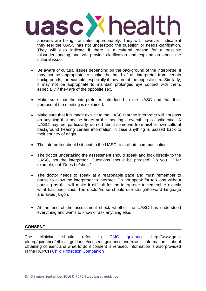

answers are being translated appropriately. They will, however, indicate if they feel the UASC has not understood the question or needs clarification. They will also indicate if there is a cultural reason for a possible misunderstanding and will provide clarification and explanation about the cultural issue.

- Be aware of cultural issues depending on the background of the interpreter. It may not be appropriate to shake the hand of an interpreter from certain backgrounds, for example, especially if they are of the opposite sex. Similarly, it may not be appropriate to maintain prolonged eye contact with them, especially if they are of the opposite sex.
- Make sure that the interpreter is introduced to the UASC and that their purpose at the meeting is explained.
- Make sure that it is made explicit to the UASC that the interpreter will not pass on anything that he/she hears at the meeting – everything is confidential. A UASC may feel particularly worried about someone from his/her own cultural background hearing certain information in case anything is passed back to their country of origin.
- The interpreter should sit next to the UASC to facilitate communication.
- The doctor undertaking the assessment should speak and look directly to the UASC, not the interpreter. Questions should be phrased 'Do you ...' for example, not 'Does he/she...'
- The doctor needs to speak at a reasonable pace and must remember to pause to allow the interpreter to interpret. Do not speak for too long without pausing as this will make it difficult for the interpreter to remember exactly what has been said. The doctor/nurse should use straightforward language and avoid jargon.
- At the end of the assessment check whether the UASC has understood everything and wants to know or ask anything else.

# **CONSENT**

The clinician should refer to [GMC guidance](http://www.gmc-uk.org/guidance/ethical_guidance/consent_guidance_index.asp) http://www.gmcuk.org/guidance/ethical\_guidance/consent\_guidance\_index.as information about obtaining consent and what to do if consent is refused. Information is also provided in the RCPCH [Child Protection Companion](http://www.rcpch.ac.uk/child-protection-companion)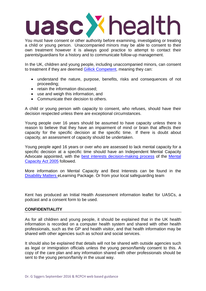You must have consent or other authority before examining, investigating or treating a child or young person. Unaccompanied minors may be able to consent to their own treatment however it is always good practice to attempt to contact their parents/guardians for a history and to communicate follow-up management.

In the UK, children and young people, including unaccompanied minors, can consent to treatment if they are deemed [Gillick Competent,](https://www.nspcc.org.uk/preventing-abuse/child-protection-system/legal-definition-child-rights-law/gillick-competency-fraser-guidelines/) meaning they can:

- understand the nature, purpose, benefits, risks and consequences of not proceeding;
- retain the information discussed;
- use and weigh this information, and
- Communicate their decision to others.

A child or young person with capacity to consent, who refuses, should have their decision respected unless there are exceptional circumstances.

Young people over 16 years should be assumed to have capacity unless there is reason to believe that they have an impairment of mind or brain that affects their capacity for the specific decision at the specific time. If there is doubt about capacity, an assessment of capacity should be undertaken.

Young people aged 16 years or over who are assessed to lack mental capacity for a specific decision at a specific time should have an Independent Mental Capacity Advocate appointed, with the [best interests decision-making process](http://www.bestinterests.org.uk/best_interests/) of the [Mental](http://www.legislation.gov.uk/ukpga/2005/9/contents)  [Capacity Act 2005](http://www.legislation.gov.uk/ukpga/2005/9/contents) followed.

More information on Mental Capacity and Best Interests can be found in the [Disability Matters](https://www.disabilitymatters.org.uk/course/view.php?id=62) eLearning Package. Or from your local safeguarding team

Kent has produced an Initial Health Assessment information leaflet for UASCs, a podcast and a consent form to be used.

#### **CONFIDENTIALITY**

As for all children and young people, it should be explained that in the UK health information is recorded on a computer health system and shared with other health professionals, such as the GP and health visitor, and that health information may be shared with other agencies such as school and social services.

It should also be explained that details will not be shared with outside agencies such as legal or immigration officials unless the young person/family consent to this. A copy of the care plan and any information shared with other professionals should be sent to the young person/family in the usual way.